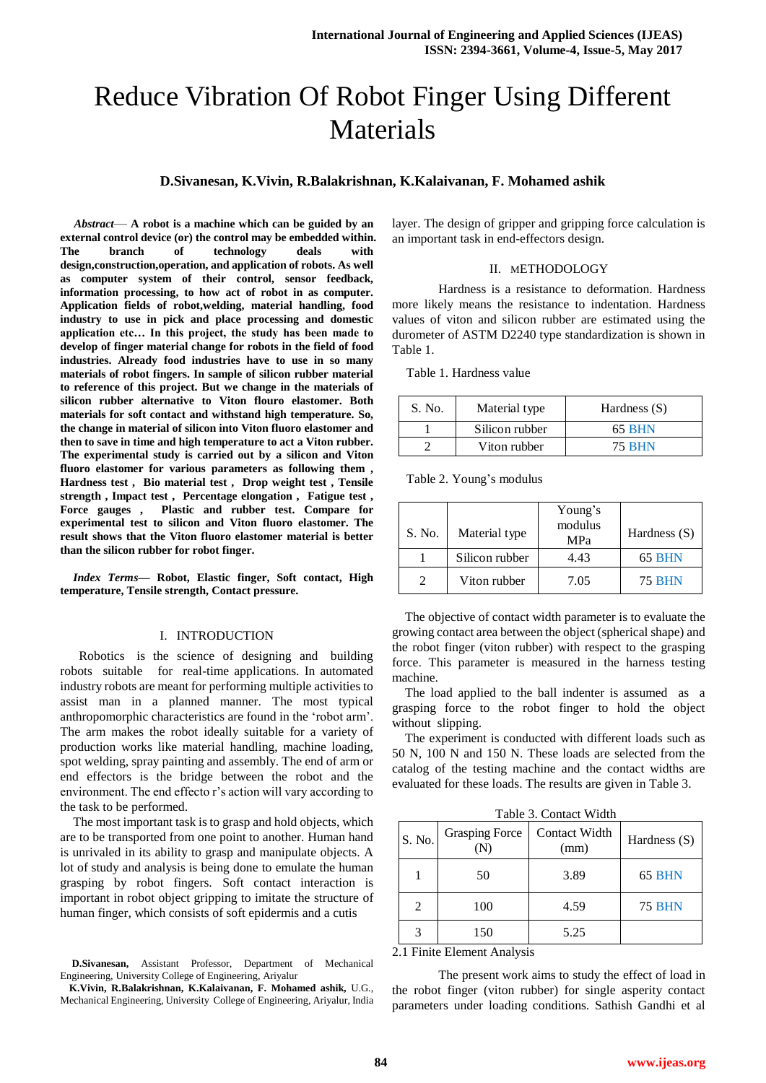# Reduce Vibration Of Robot Finger Using Different Materials

## **D.Sivanesan, K.Vivin, R.Balakrishnan, K.Kalaivanan, F. Mohamed ashik**

*Abstract*— **A robot is a machine which can be guided by an external control device (or) the control may be embedded within. The branch of technology deals with design,construction,operation, and application of robots. As well as computer system of their control, sensor feedback, information processing, to how act of robot in as computer. Application fields of robot,welding, material handling, food industry to use in pick and place processing and domestic application etc… In this project, the study has been made to develop of finger material change for robots in the field of food industries. Already food industries have to use in so many materials of robot fingers. In sample of silicon rubber material to reference of this project. But we change in the materials of silicon rubber alternative to Viton flouro elastomer. Both materials for soft contact and withstand high temperature. So, the change in material of silicon into Viton fluoro elastomer and then to save in time and high temperature to act a Viton rubber. The experimental study is carried out by a silicon and Viton fluoro elastomer for various parameters as following them , Hardness test , Bio material test , Drop weight test , Tensile strength , Impact test , Percentage elongation , Fatigue test , Force gauges , Plastic and rubber test. Compare for experimental test to silicon and Viton fluoro elastomer. The result shows that the Viton fluoro elastomer material is better than the silicon rubber for robot finger.**

*Index Terms***— Robot, Elastic finger, Soft contact, High temperature, Tensile strength, Contact pressure.**

### I. INTRODUCTION

Robotics is the science of designing and building robots suitable for real-time applications. In automated industry robots are meant for performing multiple activities to assist man in a planned manner. The most typical anthropomorphic characteristics are found in the 'robot arm'. The arm makes the robot ideally suitable for a variety of production works like material handling, machine loading, spot welding, spray painting and assembly. The end of arm or end effectors is the bridge between the robot and the environment. The end effecto r's action will vary according to the task to be performed.

The most important task is to grasp and hold objects, which are to be transported from one point to another. Human hand is unrivaled in its ability to grasp and manipulate objects. A lot of study and analysis is being done to emulate the human grasping by robot fingers. Soft contact interaction is important in robot object gripping to imitate the structure of human finger, which consists of soft epidermis and a cutis

**D.Sivanesan,** Assistant Professor, Department of Mechanical Engineering, University College of Engineering, Ariyalur

**K.Vivin, R.Balakrishnan, K.Kalaivanan, F. Mohamed ashik,** U.G., Mechanical Engineering, University College of Engineering, Ariyalur, India layer. The design of gripper and gripping force calculation is an important task in end-effectors design.

#### II. METHODOLOGY

Hardness is a resistance to deformation. Hardness more likely means the resistance to indentation. Hardness values of viton and silicon rubber are estimated using the durometer of ASTM D2240 type standardization is shown in Table 1.

Table 1. Hardness value

| S. No. | Material type  | Hardness $(S)$ |
|--------|----------------|----------------|
|        | Silicon rubber | 65 BHN         |
|        | Viton rubber   | <b>75 BHN</b>  |

Table 2. Young's modulus

| S. No. | Material type  | Young's<br>modulus<br>MPa | Hardness $(S)$ |
|--------|----------------|---------------------------|----------------|
|        | Silicon rubber | 4.43                      | 65 BHN         |
|        | Viton rubber   | 7.05                      | <b>75 BHN</b>  |

The objective of contact width parameter is to evaluate the growing contact area between the object (spherical shape) and the robot finger (viton rubber) with respect to the grasping force. This parameter is measured in the harness testing machine.

The load applied to the ball indenter is assumed as a grasping force to the robot finger to hold the object without slipping.

The experiment is conducted with different loads such as 50 N, 100 N and 150 N. These loads are selected from the catalog of the testing machine and the contact widths are evaluated for these loads. The results are given in Table 3.

Table 3. Contact Width

| S. No.                      | <b>Grasping Force</b> | Contact Width<br>(mm) | Hardness $(S)$ |
|-----------------------------|-----------------------|-----------------------|----------------|
|                             | 50                    | 3.89                  | 65 BHN         |
| $\mathcal{D}_{\mathcal{L}}$ | 100                   | 4.59                  | <b>75 BHN</b>  |
|                             | 150                   | 5.25                  |                |

2.1 Finite Element Analysis

The present work aims to study the effect of load in the robot finger (viton rubber) for single asperity contact parameters under loading conditions. Sathish Gandhi et al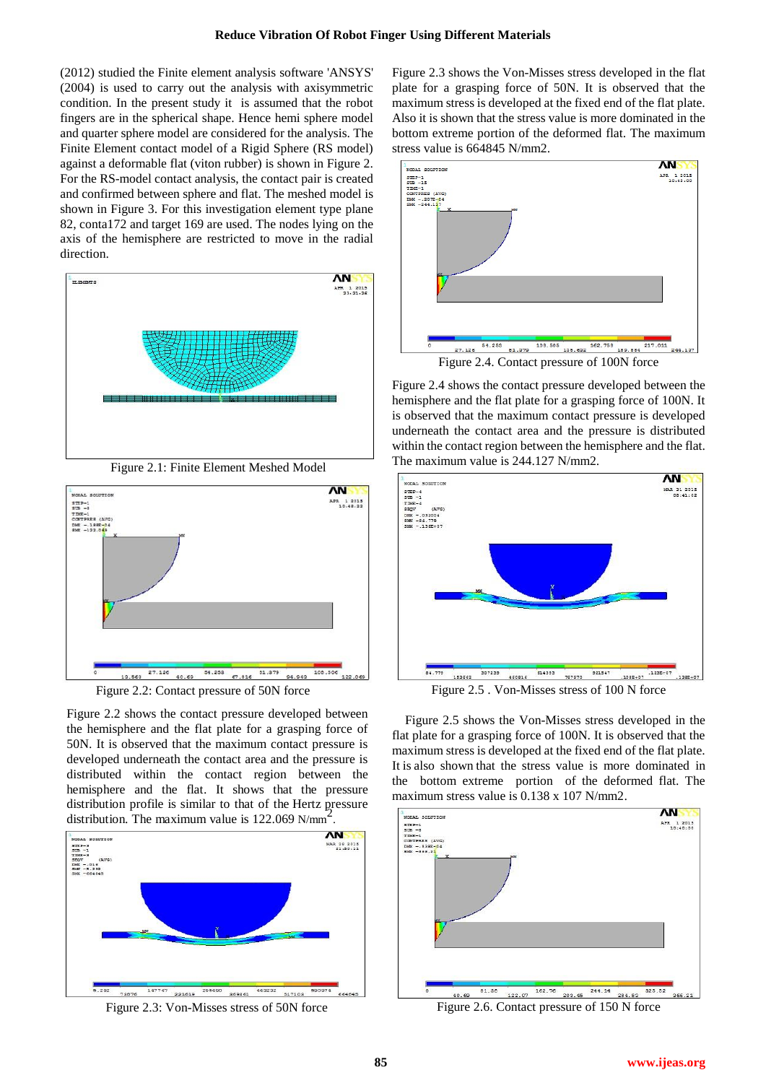(2012) studied the Finite element analysis software 'ANSYS' (2004) is used to carry out the analysis with axisymmetric condition. In the present study it is assumed that the robot fingers are in the spherical shape. Hence hemi sphere model and quarter sphere model are considered for the analysis. The Finite Element contact model of a Rigid Sphere (RS model) against a deformable flat (viton rubber) is shown in Figure 2. For the RS-model contact analysis, the contact pair is created and confirmed between sphere and flat. The meshed model is shown in Figure 3. For this investigation element type plane 82, conta172 and target 169 are used. The nodes lying on the axis of the hemisphere are restricted to move in the radial direction.



Figure 2.1: Finite Element Meshed Model



Figure 2.2: Contact pressure of 50N force

Figure 2.2 shows the contact pressure developed between the hemisphere and the flat plate for a grasping force of 50N. It is observed that the maximum contact pressure is developed underneath the contact area and the pressure is distributed within the contact region between the hemisphere and the flat. It shows that the pressure distribution profile is similar to that of the Hertz pressure distribution. The maximum value is  $122.069$  N/mm<sup>2</sup>.



Figure 2.3: Von-Misses stress of 50N force

Figure 2.3 shows the Von-Misses stress developed in the flat plate for a grasping force of 50N. It is observed that the maximum stress is developed at the fixed end of the flat plate. Also it is shown that the stress value is more dominated in the bottom extreme portion of the deformed flat. The maximum stress value is 664845 N/mm2.



Figure 2.4 shows the contact pressure developed between the hemisphere and the flat plate for a grasping force of 100N. It is observed that the maximum contact pressure is developed underneath the contact area and the pressure is distributed within the contact region between the hemisphere and the flat. The maximum value is 244.127 N/mm2.



Figure 2.5 . Von-Misses stress of 100 N force

Figure 2.5 shows the Von-Misses stress developed in the flat plate for a grasping force of 100N. It is observed that the maximum stress is developed at the fixed end of the flat plate. It is also shown that the stress value is more dominated in the bottom extreme portion of the deformed flat. The maximum stress value is 0.138 x 107 N/mm2.



Figure 2.6. Contact pressure of 150 N force